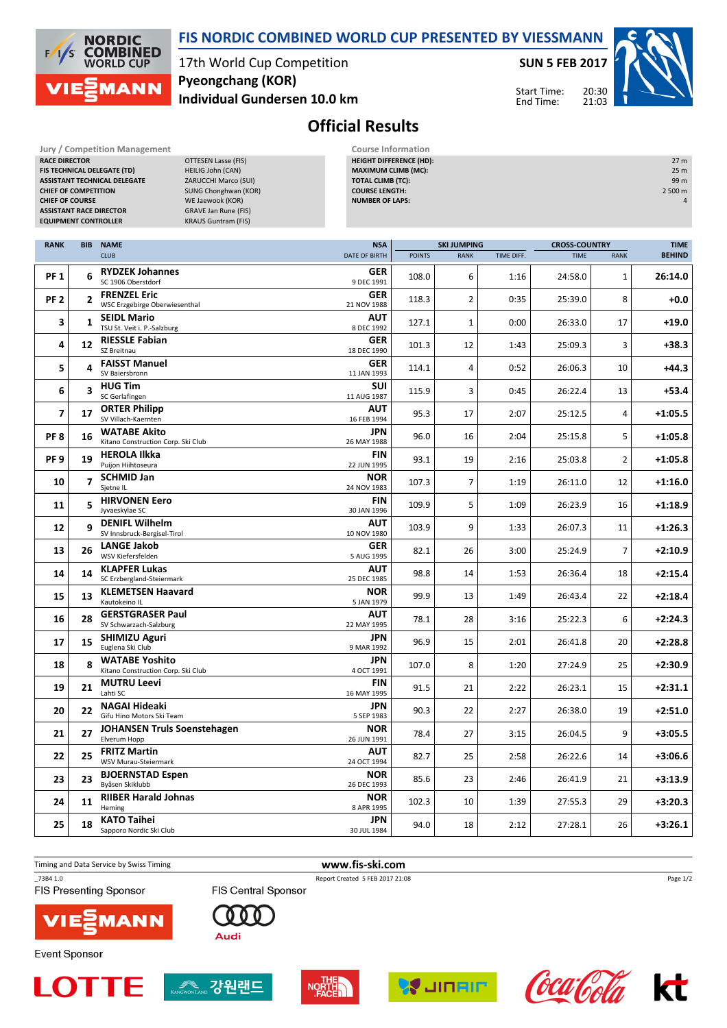

**FIS TECHNICAL DELEGATE (TD)** HEILIG John (CAN) **ASSISTANT TECHNICAL DELEGATE** ZARUCCHI Marco (SUI)

## **FIS NORDIC COMBINED WORLD CUP PRESENTED BY VIESSMANN**

17th World Cup Competition **Individual Gundersen 10.0 km Pyeongchang (KOR)**

**Jury / Competition Management Course Information**<br>**RACE DIRECTOR COURSE ATTES ASSESSED FOR A PROPER PROPER PROPER PROPER PROPER PROPER PROPER PROPER PROPER PROPER PROPER PROPER PROPER PROPER PROPER PROPER PROPER PROPE DTTESEN Lasse (FIS)** 

**SUN 5 FEB 2017**

Start Time: End Time:

**HEIGHT DIFFERENCE (HD):** 27 m **MAXIMUM CLIMB (MC):** 25 m **TOTAL CLIMB (TC):** 99 m



## **Official Results**

|                          | SUNG Chonghwan (KOR)<br><b>COURSE LENGTH:</b><br><b>CHIEF OF COMPETITION</b><br>WE Jaewook (KOR)<br><b>NUMBER OF LAPS:</b><br><b>CHIEF OF COURSE</b><br><b>GRAVE Jan Rune (FIS)</b><br><b>ASSISTANT RACE DIRECTOR</b><br><b>EQUIPMENT CONTROLLER</b><br><b>KRAUS Guntram (FIS)</b> |                                                             |  |                           |               |                    |            |                      |                | 2 500 m       |
|--------------------------|------------------------------------------------------------------------------------------------------------------------------------------------------------------------------------------------------------------------------------------------------------------------------------|-------------------------------------------------------------|--|---------------------------|---------------|--------------------|------------|----------------------|----------------|---------------|
| <b>RANK</b>              | <b>BIB</b>                                                                                                                                                                                                                                                                         | <b>NAME</b>                                                 |  | <b>NSA</b>                |               | <b>SKI JUMPING</b> |            | <b>CROSS-COUNTRY</b> |                | <b>TIME</b>   |
|                          |                                                                                                                                                                                                                                                                                    | <b>CLUB</b>                                                 |  | <b>DATE OF BIRTH</b>      | <b>POINTS</b> | <b>RANK</b>        | TIME DIFF. | <b>TIME</b>          | <b>RANK</b>    | <b>BEHIND</b> |
| <b>PF1</b>               | 6                                                                                                                                                                                                                                                                                  | <b>RYDZEK Johannes</b><br>SC 1906 Oberstdorf                |  | <b>GER</b><br>9 DEC 1991  | 108.0         | 6                  | 1:16       | 24:58.0              | 1              | 26:14.0       |
| <b>PF 2</b>              | $\overline{2}$                                                                                                                                                                                                                                                                     | <b>FRENZEL Eric</b><br>WSC Erzgebirge Oberwiesenthal        |  | <b>GER</b><br>21 NOV 1988 | 118.3         | 2                  | 0:35       | 25:39.0              | 8              | +0.0          |
| 3                        | 1                                                                                                                                                                                                                                                                                  | <b>SEIDL Mario</b><br>TSU St. Veit i. P.-Salzburg           |  | <b>AUT</b><br>8 DEC 1992  | 127.1         | $\mathbf{1}$       | 0:00       | 26:33.0              | 17             | $+19.0$       |
| 4                        | 12                                                                                                                                                                                                                                                                                 | <b>RIESSLE Fabian</b><br>SZ Breitnau                        |  | <b>GER</b><br>18 DEC 1990 | 101.3         | 12                 | 1:43       | 25:09.3              | 3              | $+38.3$       |
| 5                        | 4                                                                                                                                                                                                                                                                                  | <b>FAISST Manuel</b><br>SV Baiersbronn                      |  | <b>GER</b><br>11 JAN 1993 | 114.1         | 4                  | 0:52       | 26:06.3              | 10             | $+44.3$       |
| 6                        | 3                                                                                                                                                                                                                                                                                  | <b>HUG Tim</b><br>SC Gerlafingen                            |  | <b>SUI</b><br>11 AUG 1987 | 115.9         | 3                  | 0:45       | 26:22.4              | 13             | $+53.4$       |
| $\overline{\phantom{a}}$ | 17                                                                                                                                                                                                                                                                                 | <b>ORTER Philipp</b><br>SV Villach-Kaernten                 |  | AUT<br>16 FEB 1994        | 95.3          | 17                 | 2:07       | 25:12.5              | 4              | $+1:05.5$     |
| PF <sub>8</sub>          | 16                                                                                                                                                                                                                                                                                 | <b>WATABE Akito</b><br>Kitano Construction Corp. Ski Club   |  | JPN<br>26 MAY 1988        | 96.0          | 16                 | 2:04       | 25:15.8              | 5              | $+1:05.8$     |
| PF <sub>9</sub>          | 19                                                                                                                                                                                                                                                                                 | <b>HEROLA Ilkka</b><br>Puijon Hiihtoseura                   |  | FIN<br>22 JUN 1995        | 93.1          | 19                 | 2:16       | 25:03.8              | 2              | $+1:05.8$     |
| 10                       | $\overline{7}$                                                                                                                                                                                                                                                                     | <b>SCHMID Jan</b><br>Sjetne IL                              |  | <b>NOR</b><br>24 NOV 1983 | 107.3         | 7                  | 1:19       | 26:11.0              | 12             | $+1:16.0$     |
| 11                       | 5                                                                                                                                                                                                                                                                                  | <b>HIRVONEN Eero</b><br>Jyvaeskylae SC                      |  | FIN<br>30 JAN 1996        | 109.9         | 5                  | 1:09       | 26:23.9              | 16             | $+1:18.9$     |
| 12                       | 9                                                                                                                                                                                                                                                                                  | <b>DENIFL Wilhelm</b><br>SV Innsbruck-Bergisel-Tirol        |  | <b>AUT</b><br>10 NOV 1980 | 103.9         | 9                  | 1:33       | 26:07.3              | 11             | $+1:26.3$     |
| 13                       | 26                                                                                                                                                                                                                                                                                 | <b>LANGE Jakob</b><br>WSV Kiefersfelden                     |  | GER<br>5 AUG 1995         | 82.1          | 26                 | 3:00       | 25:24.9              | $\overline{7}$ | $+2:10.9$     |
| 14                       | 14                                                                                                                                                                                                                                                                                 | <b>KLAPFER Lukas</b><br>SC Erzbergland-Steiermark           |  | <b>AUT</b><br>25 DEC 1985 | 98.8          | 14                 | 1:53       | 26:36.4              | 18             | $+2:15.4$     |
| 15                       | 13                                                                                                                                                                                                                                                                                 | <b>KLEMETSEN Haavard</b><br>Kautokeino IL                   |  | <b>NOR</b><br>5 JAN 1979  | 99.9          | 13                 | 1:49       | 26:43.4              | 22             | $+2:18.4$     |
| 16                       | 28                                                                                                                                                                                                                                                                                 | <b>GERSTGRASER Paul</b><br>SV Schwarzach-Salzburg           |  | AUT<br>22 MAY 1995        | 78.1          | 28                 | 3:16       | 25:22.3              | 6              | $+2:24.3$     |
| 17                       | 15                                                                                                                                                                                                                                                                                 | <b>SHIMIZU Aguri</b><br>Euglena Ski Club                    |  | JPN<br>9 MAR 1992         | 96.9          | 15                 | 2:01       | 26:41.8              | 20             | $+2:28.8$     |
| 18                       | 8                                                                                                                                                                                                                                                                                  | <b>WATABE Yoshito</b><br>Kitano Construction Corp. Ski Club |  | JPN<br>4 OCT 1991         | 107.0         | 8                  | 1:20       | 27:24.9              | 25             | $+2:30.9$     |
| 19                       | 21                                                                                                                                                                                                                                                                                 | <b>MUTRU Leevi</b><br>Lahti SC                              |  | FIN<br>16 MAY 1995        | 91.5          | 21                 | 2:22       | 26:23.1              | 15             | $+2:31.1$     |
| 20                       | 22                                                                                                                                                                                                                                                                                 | <b>NAGAI Hideaki</b><br>Gifu Hino Motors Ski Team           |  | JPN<br>5 SEP 1983         | 90.3          | 22                 | 2:27       | 26:38.0              | 19             | $+2:51.0$     |
| 21                       | 27                                                                                                                                                                                                                                                                                 | <b>JOHANSEN Truls Soenstehagen</b><br>Elverum Hopp          |  | <b>NOR</b><br>26 JUN 1991 | 78.4          | 27                 | 3:15       | 26:04.5              | 9              | $+3:05.5$     |
| 22                       | 25                                                                                                                                                                                                                                                                                 | <b>FRITZ Martin</b><br>WSV Murau-Steiermark                 |  | <b>AUT</b><br>24 OCT 1994 | 82.7          | 25                 | 2:58       | 26:22.6              | 14             | $+3:06.6$     |
| 23                       | 23                                                                                                                                                                                                                                                                                 | <b>BJOERNSTAD Espen</b><br>Byåsen Skiklubb                  |  | <b>NOR</b><br>26 DEC 1993 | 85.6          | 23                 | 2:46       | 26:41.9              | 21             | $+3:13.9$     |
| 24                       | 11                                                                                                                                                                                                                                                                                 | <b>RIIBER Harald Johnas</b><br>Heming                       |  | <b>NOR</b><br>8 APR 1995  | 102.3         | 10                 | 1:39       | 27:55.3              | 29             | $+3:20.3$     |
| 25                       | 18                                                                                                                                                                                                                                                                                 | <b>KATO Taihei</b><br>Sapporo Nordic Ski Club               |  | JPN<br>30 JUL 1984        | 94.0          | 18                 | 2:12       | 27:28.1              | 26             | $+3:26.1$     |



NQR



**Event Sponsor** 





**Audi** 









Page 1/2